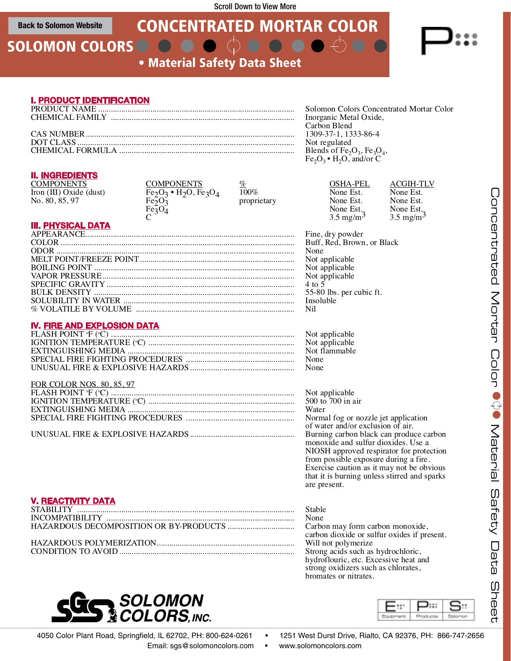## **Back to Solomon Website**

# CONCENTRATED MORTAR COLOR

SOLOMON COLORS O O

• Material Safety Data Sheet

## **I. PRODUCT IDENTIFICATION**

| Solomon Colors Concentrated Mortar Color |  |
|------------------------------------------|--|
| Inorganic Metal Oxide,                   |  |
| Carbon Blend                             |  |
| 1309-37-1, 1333-86-4                     |  |
| Not regulated                            |  |
| Blends of $Fe2O3$ , $Fe3O4$ ,            |  |
| $Fe2O3$ • H <sub>2</sub> O, and/or C     |  |

# **II. INGREDIENTS**

# **III. PHYSICAL DATA**

| None                     |
|--------------------------|
|                          |
|                          |
|                          |
| $4 \text{ to } 5$        |
| 55-80 lbs. per cubic ft. |
| <b>Insoluble</b>         |
|                          |
|                          |

# **IV. FIRE AND EXPLOSION DATA**

| Not applicable |
|----------------|
| Not flammable  |
|                |
|                |
|                |

| FOR COLOR NOS. 80, 85, 97 |                                       |
|---------------------------|---------------------------------------|
|                           | Not applicable                        |
|                           | 500 to 700 in a                       |
|                           | Water                                 |
|                           |                                       |
|                           | $\sigma$ we take $\sigma$ d/ $\sigma$ |

| COMPONENTS              | <b>COMPONENTS</b>              | %           | OSHA-PEL             | <b>ACGIH-TLV</b>     |
|-------------------------|--------------------------------|-------------|----------------------|----------------------|
| Iron (III) Oxide (dust) | $Fe2O3 \cdot H2O$ , $Fe3O4$    | $100\%$     | None Est.            | None Est.            |
| No. 80, 85, 97          | Fe <sub>2</sub> O <sub>3</sub> | proprietary | None Est.            | None Est.            |
|                         | Fe <sub>3</sub> O <sub>4</sub> |             | None Est.            | None Est.            |
|                         |                                |             | $3.5 \text{ mg/m}^3$ | $3.5 \text{ mg/m}^3$ |

C) ...................................................................... 500 to 700 in air EXTINGUISHING MEDIA ................................................................................ Water SPECIAL FIRE FIGHTING PROCEDURES .................................................... Normal fog or nozzle jet application of water and/or exclusion of air. UNUSUAL FIRE & EXPLOSIVE HAZARDS.................................................. Burning carbon black can produce carbon monoxide and sulfur dioxides. Use a NIOSH approved respirator for protection from possible exposure during a fire. Exercise caution as it may not be obvious that it is burning unless stirred and sparks are present.

# **V. REACTIVITY DATA**

|                                                                                                                                   | Stable            |
|-----------------------------------------------------------------------------------------------------------------------------------|-------------------|
|                                                                                                                                   | None              |
|                                                                                                                                   | carbor            |
|                                                                                                                                   | Will n            |
| $C$ $\Omega$ $\Omega$ $\Gamma$ $\Gamma$ $\Gamma$ $\Omega$ $\Gamma$ $\Gamma$ $\Gamma$ $\Omega$ $\Gamma$ $\Gamma$ $\Gamma$ $\Gamma$ | $C_{\text{data}}$ |

Carbon may form carbon monoxide, carbon dioxide or sulfur oxides if present. Will not polymerize<br>Strong acids such as hydrochloric, CONDITION TO AVOID .................................................................................... Strong acids such as hydrochloric, hydroflouric, etc. Excessive heat and strong oxidizers such as chlorates, bromates or nitrates.





 $\overline{\leq}$ a ር<br>መ ר<br>מו ທ ወ<br>መ<br>መ t y D a ር<br>መ ທ **h** መ መ ct ጋ<br>ወ ว  $\bigcap$ o<br>O ว

 $\bigcap$ o n c መ n a<br>J  $\bar{\mathbb{D}}$ ር<br>መ  $\mathsf \Omega$ 

 $\leq$ o

4050 Color Plant Road, Springfield, IL 62702, PH: 800-624-0261 • 1251 West Durst Drive, Rialto, CA 92376, PH: 866-747-2656